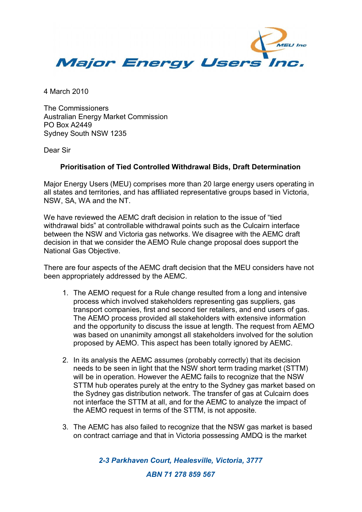

4 March 2010

The Commissioners Australian Energy Market Commission PO Box A2449 Sydney South NSW 1235

Dear Sir

## **Prioritisation of Tied Controlled Withdrawal Bids, Draft Determination**

Major Energy Users (MEU) comprises more than 20 large energy users operating in all states and territories, and has affiliated representative groups based in Victoria, NSW, SA, WA and the NT.

We have reviewed the AEMC draft decision in relation to the issue of "tied withdrawal bids" at controllable withdrawal points such as the Culcairn interface between the NSW and Victoria gas networks. We disagree with the AEMC draft decision in that we consider the AEMO Rule change proposal does support the National Gas Objective.

There are four aspects of the AEMC draft decision that the MEU considers have not been appropriately addressed by the AEMC.

- 1. The AEMO request for a Rule change resulted from a long and intensive process which involved stakeholders representing gas suppliers, gas transport companies, first and second tier retailers, and end users of gas. The AEMO process provided all stakeholders with extensive information and the opportunity to discuss the issue at length. The request from AEMO was based on unanimity amongst all stakeholders involved for the solution proposed by AEMO. This aspect has been totally ignored by AEMC.
- 2. In its analysis the AEMC assumes (probably correctly) that its decision needs to be seen in light that the NSW short term trading market (STTM) will be in operation. However the AEMC fails to recognize that the NSW STTM hub operates purely at the entry to the Sydney gas market based on the Sydney gas distribution network. The transfer of gas at Culcairn does not interface the STTM at all, and for the AEMC to analyze the impact of the AEMO request in terms of the STTM, is not apposite.
- 3. The AEMC has also failed to recognize that the NSW gas market is based on contract carriage and that in Victoria possessing AMDQ is the market

*2-3 Parkhaven Court, Healesville, Victoria, 3777 ABN 71 278 859 567*